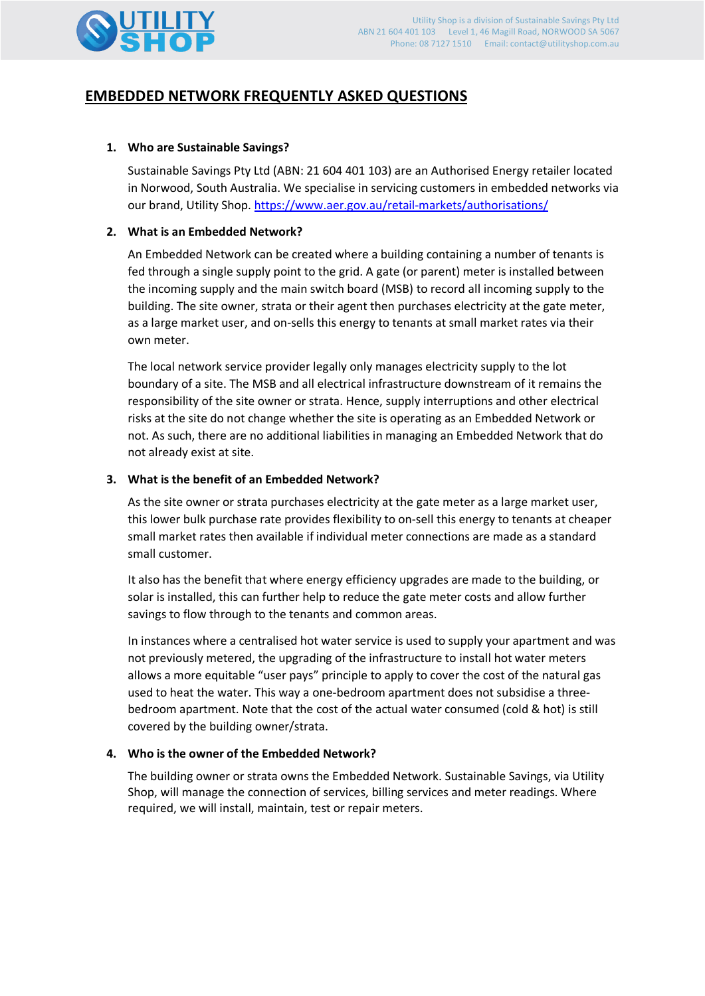

# **EMBEDDED NETWORK FREQUENTLY ASKED QUESTIONS**

# **1. Who are Sustainable Savings?**

Sustainable Savings Pty Ltd (ABN: 21 604 401 103) are an Authorised Energy retailer located in Norwood, South Australia. We specialise in servicing customers in embedded networks via our brand, Utility Shop. [https://www.aer.gov.au/retail-markets/authorisations/](https://www.aer.gov.au/retail-markets/authorisations/public-register-of-authorised-retailers-authorisation-applications/sustainable-savings-pty-ltd-authorised-electricity-retailer)

# **2. What is an Embedded Network?**

An Embedded Network can be created where a building containing a number of tenants is fed through a single supply point to the grid. A gate (or parent) meter is installed between the incoming supply and the main switch board (MSB) to record all incoming supply to the building. The site owner, strata or their agent then purchases electricity at the gate meter, as a large market user, and on-sells this energy to tenants at small market rates via their own meter.

The local network service provider legally only manages electricity supply to the lot boundary of a site. The MSB and all electrical infrastructure downstream of it remains the responsibility of the site owner or strata. Hence, supply interruptions and other electrical risks at the site do not change whether the site is operating as an Embedded Network or not. As such, there are no additional liabilities in managing an Embedded Network that do not already exist at site.

# **3. What is the benefit of an Embedded Network?**

As the site owner or strata purchases electricity at the gate meter as a large market user, this lower bulk purchase rate provides flexibility to on-sell this energy to tenants at cheaper small market rates then available if individual meter connections are made as a standard small customer.

It also has the benefit that where energy efficiency upgrades are made to the building, or solar is installed, this can further help to reduce the gate meter costs and allow further savings to flow through to the tenants and common areas.

In instances where a centralised hot water service is used to supply your apartment and was not previously metered, the upgrading of the infrastructure to install hot water meters allows a more equitable "user pays" principle to apply to cover the cost of the natural gas used to heat the water. This way a one-bedroom apartment does not subsidise a threebedroom apartment. Note that the cost of the actual water consumed (cold & hot) is still covered by the building owner/strata.

#### **4. Who is the owner of the Embedded Network?**

The building owner or strata owns the Embedded Network. Sustainable Savings, via Utility Shop, will manage the connection of services, billing services and meter readings. Where required, we will install, maintain, test or repair meters.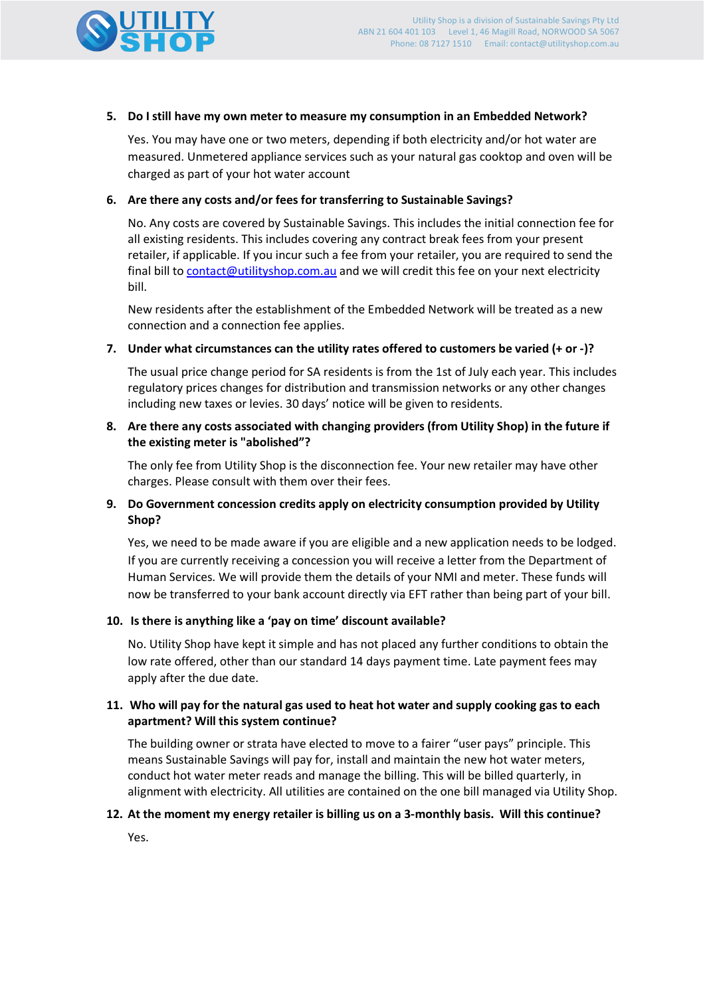

### **5. Do I still have my own meter to measure my consumption in an Embedded Network?**

Yes. You may have one or two meters, depending if both electricity and/or hot water are measured. Unmetered appliance services such as your natural gas cooktop and oven will be charged as part of your hot water account

# **6. Are there any costs and/or fees for transferring to Sustainable Savings?**

No. Any costs are covered by Sustainable Savings. This includes the initial connection fee for all existing residents. This includes covering any contract break fees from your present retailer, if applicable. If you incur such a fee from your retailer, you are required to send the final bill to [contact@utilityshop.com.au](mailto:contact@utilityshop.com.au) and we will credit this fee on your next electricity bill.

New residents after the establishment of the Embedded Network will be treated as a new connection and a connection fee applies.

# **7. Under what circumstances can the utility rates offered to customers be varied (+ or -)?**

The usual price change period for SA residents is from the 1st of July each year. This includes regulatory prices changes for distribution and transmission networks or any other changes including new taxes or levies. 30 days' notice will be given to residents.

# **8. Are there any costs associated with changing providers (from Utility Shop) in the future if the existing meter is "abolished"?**

The only fee from Utility Shop is the disconnection fee. Your new retailer may have other charges. Please consult with them over their fees.

# **9. Do Government concession credits apply on electricity consumption provided by Utility Shop?**

Yes, we need to be made aware if you are eligible and a new application needs to be lodged. If you are currently receiving a concession you will receive a letter from the Department of Human Services. We will provide them the details of your NMI and meter. These funds will now be transferred to your bank account directly via EFT rather than being part of your bill.

# **10. Is there is anything like a 'pay on time' discount available?**

No. Utility Shop have kept it simple and has not placed any further conditions to obtain the low rate offered, other than our standard 14 days payment time. Late payment fees may apply after the due date.

# **11. Who will pay for the natural gas used to heat hot water and supply cooking gas to each apartment? Will this system continue?**

The building owner or strata have elected to move to a fairer "user pays" principle. This means Sustainable Savings will pay for, install and maintain the new hot water meters, conduct hot water meter reads and manage the billing. This will be billed quarterly, in alignment with electricity. All utilities are contained on the one bill managed via Utility Shop.

#### **12. At the moment my energy retailer is billing us on a 3-monthly basis. Will this continue?**

Yes.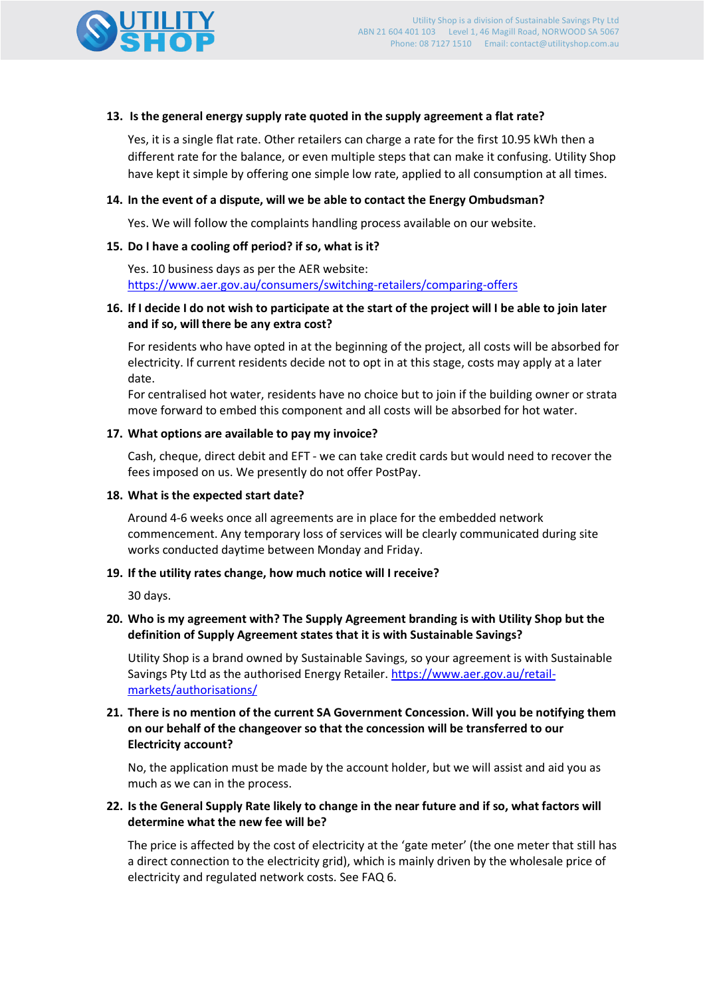

### **13. Is the general energy supply rate quoted in the supply agreement a flat rate?**

Yes, it is a single flat rate. Other retailers can charge a rate for the first 10.95 kWh then a different rate for the balance, or even multiple steps that can make it confusing. Utility Shop have kept it simple by offering one simple low rate, applied to all consumption at all times.

### **14. In the event of a dispute, will we be able to contact the Energy Ombudsman?**

Yes. We will follow the complaints handling process available on our website.

# **15. Do I have a cooling off period? if so, what is it?**

Yes. 10 business days as per the AER website: <https://www.aer.gov.au/consumers/switching-retailers/comparing-offers>

# **16. If I decide I do not wish to participate at the start of the project will I be able to join later and if so, will there be any extra cost?**

For residents who have opted in at the beginning of the project, all costs will be absorbed for electricity. If current residents decide not to opt in at this stage, costs may apply at a later date.

For centralised hot water, residents have no choice but to join if the building owner or strata move forward to embed this component and all costs will be absorbed for hot water.

#### **17. What options are available to pay my invoice?**

Cash, cheque, direct debit and EFT - we can take credit cards but would need to recover the fees imposed on us. We presently do not offer PostPay.

#### **18. What is the expected start date?**

Around 4-6 weeks once all agreements are in place for the embedded network commencement. Any temporary loss of services will be clearly communicated during site works conducted daytime between Monday and Friday.

#### **19. If the utility rates change, how much notice will I receive?**

30 days.

# **20. Who is my agreement with? The Supply Agreement branding is with Utility Shop but the definition of Supply Agreement states that it is with Sustainable Savings?**

Utility Shop is a brand owned by Sustainable Savings, so your agreement is with Sustainable Savings Pty Ltd as the authorised Energy Retailer. [https://www.aer.gov.au/retail](https://www.aer.gov.au/retail-markets/authorisations/public-register-of-authorised-retailers-authorisation-applications/sustainable-savings-pty-ltd-authorised-electricity-retailer)[markets/authorisations/](https://www.aer.gov.au/retail-markets/authorisations/public-register-of-authorised-retailers-authorisation-applications/sustainable-savings-pty-ltd-authorised-electricity-retailer)

### **21. There is no mention of the current SA Government Concession. Will you be notifying them on our behalf of the changeover so that the concession will be transferred to our Electricity account?**

No, the application must be made by the account holder, but we will assist and aid you as much as we can in the process.

# **22. Is the General Supply Rate likely to change in the near future and if so, what factors will determine what the new fee will be?**

The price is affected by the cost of electricity at the 'gate meter' (the one meter that still has a direct connection to the electricity grid), which is mainly driven by the wholesale price of electricity and regulated network costs. See FAQ 6.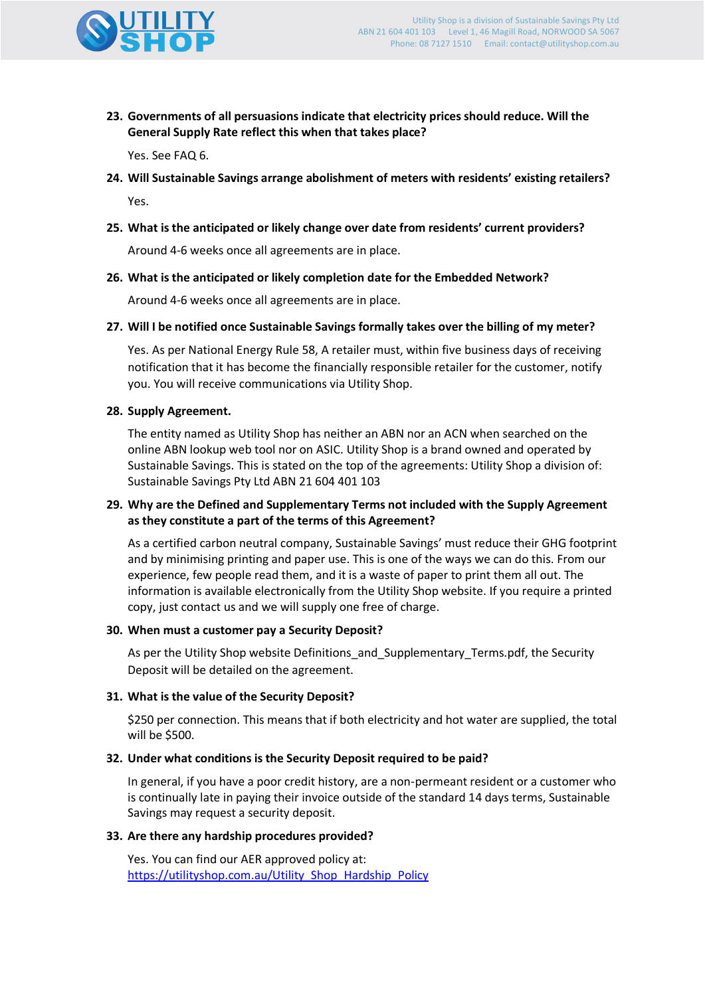

**23. Governments of all persuasions indicate that electricity prices should reduce. Will the General Supply Rate reflect this when that takes place?**

Yes. See FAQ 6.

- **24. Will Sustainable Savings arrange abolishment of meters with residents' existing retailers?** Yes.
- **25. What is the anticipated or likely change over date from residents' current providers?**

Around 4-6 weeks once all agreements are in place.

**26. What is the anticipated or likely completion date for the Embedded Network?**

Around 4-6 weeks once all agreements are in place.

**27. Will I be notified once Sustainable Savings formally takes over the billing of my meter?**

Yes. As per National Energy Rule 58, A retailer must, within five business days of receiving notification that it has become the financially responsible retailer for the customer, notify you. You will receive communications via Utility Shop.

#### **28. Supply Agreement.**

The entity named as Utility Shop has neither an ABN nor an ACN when searched on the online ABN lookup web tool nor on ASIC. Utility Shop is a brand owned and operated by Sustainable Savings. This is stated on the top of the agreements: Utility Shop a division of: Sustainable Savings Pty Ltd ABN 21 604 401 103

#### **29. Why are the Defined and Supplementary Terms not included with the Supply Agreement as they constitute a part of the terms of this Agreement?**

As a certified carbon neutral company, Sustainable Savings' must reduce their GHG footprint and by minimising printing and paper use. This is one of the ways we can do this. From our experience, few people read them, and it is a waste of paper to print them all out. The information is available electronically from the Utility Shop website. If you require a printed copy, just contact us and we will supply one free of charge.

#### **30. When must a customer pay a Security Deposit?**

As per the Utility Shop website Definitions and Supplementary Terms.pdf, the Security Deposit will be detailed on the agreement.

#### **31. What is the value of the Security Deposit?**

\$250 per connection. This means that if both electricity and hot water are supplied, the total will be \$500.

#### **32. Under what conditions is the Security Deposit required to be paid?**

In general, if you have a poor credit history, are a non-permeant resident or a customer who is continually late in paying their invoice outside of the standard 14 days terms, Sustainable Savings may request a security deposit.

#### **33. Are there any hardship procedures provided?**

Yes. You can find our AER approved policy at: [https://utilityshop.com.au/Utility\\_Shop\\_Hardship\\_Policy](https://utilityshop.com.au/images/PDFs/Utility_Shop_Hardship_Policy_V8_12-08-2019_AK.pdf)